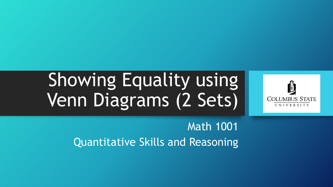# Showing Equality using Venn Diagrams (2 Sets)



Math 1001 Quantitative Skills and Reasoning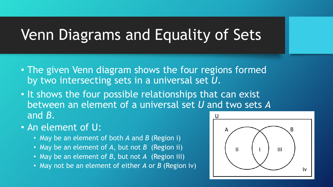- The given Venn diagram shows the four regions formed by two intersecting sets in a universal set *U*.
- It shows the four possible relationships that can exist between an element of a universal set *U* and two sets *A* and *B*. U
- An element of U:
	- May be an element of both *A* and *B* (Region i)
	- May be an element of *A*, but not *B* (Region ii)
	- May be an element of *B*, but not *A* (Region iii)
	- May not be an element of either *A* or *B* (Region iv)

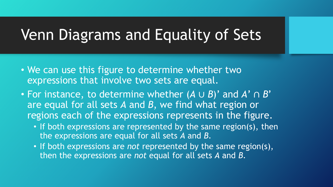- We can use this figure to determine whether two expressions that involve two sets are equal.
- For instance, to determine whether (*A* ∪ *B*)' and *A*' ∩ *B*' are equal for all sets *A* and *B*, we find what region or regions each of the expressions represents in the figure.
	- If both expressions are represented by the same region(s), then the expressions are equal for all sets *A* and *B*.
	- If both expressions are *not* represented by the same region(s), then the expressions are *not* equal for all sets *A* and *B*.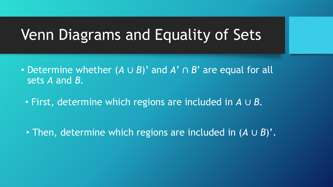- Determine whether (*A* ∪ *B*)' and *A*' ∩ *B*' are equal for all sets *A* and *B*.
	- First, determine which regions are included in *A* ∪ *B.*

• Then, determine which regions are included in (*A* ∪ *B*)'*.*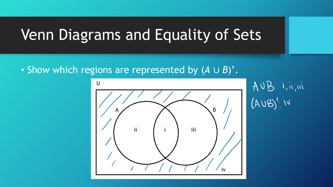• Show which regions are represented by (*A* ∪ *B*)'.



AUB: IMA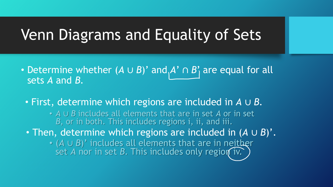- Determine whether (*A* ∪ *B*)' and  $\overline{A}$ ' ∩ *B*' are equal for all sets *A* and *B*.
	- First, determine which regions are included in *A* ∪ *B.*
		- *A* ∪ *B* includes all elements that are in set *A* or in set *B*, or in both. This includes regions i, ii, and iii.
	- Then, determine which regions are included in (*A* ∪ *B*)'*.*
		- (*A* ∪ *B*)' includes all elements that are in neither set *A* nor in set *B*. This includes only region iv.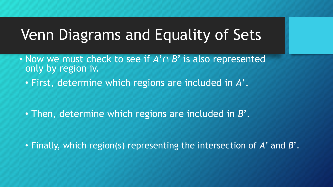- Now we must check to see if *A*'∩ *B*' is also represented only by region iv.
	- First, determine which regions are included in *A*'.

• Then, determine which regions are included in *B*'*.*

• Finally, which region(s) representing the intersection of *A*' and *B*'*.*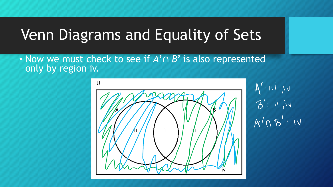• Now we must check to see if *A*'∩ *B*' is also represented only by region iv.



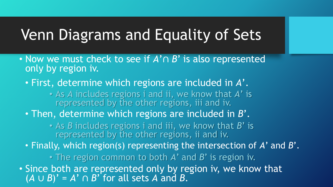- Now we must check to see if *A*'∩ *B*' is also represented only by region iv.
	- First, determine which regions are included in *A*'.
		- As *A* includes regions i and ii, we know that *A*' is represented by the other regions, iii and iv.
	- Then, determine which regions are included in *B*'*.*

• As *B* includes regions i and iii, we know that *B*' is represented by the other regions, ii and iv.

• Finally, which region(s) representing the intersection of *A*' and *B*'*.*

• The region common to both *A*' and *B*' is region iv.

• Since both are represented only by region iv, we know that  $(A \cup B)' = A' \cap B'$  for all sets A and B.